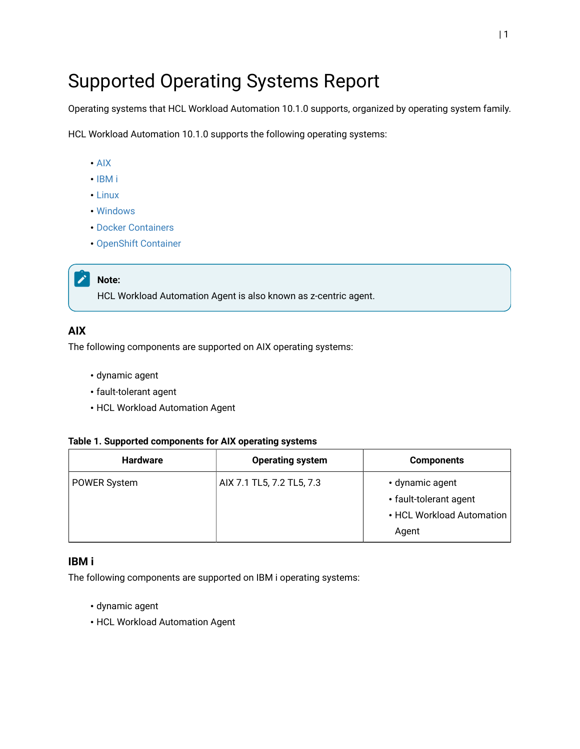# Supported Operating Systems Report

Operating systems that HCL Workload Automation 10.1.0 supports, organized by operating system family.

HCL Workload Automation 10.1.0 supports the following operating systems:

- [AIX](#page-0-0)
- [IBM i](#page-0-1)
- [Linux](#page-1-0)
- [Windows](#page-2-0)
- Docker [Containers](#page-3-0)
- [OpenShift Container](#page-4-0)

## **Note:**

HCL Workload Automation Agent is also known as z-centric agent.

## <span id="page-0-0"></span>**AIX**

The following components are supported on AIX operating systems:

- dynamic agent
- fault-tolerant agent
- HCL Workload Automation Agent

#### **Table 1. Supported components for AIX operating systems**

| <b>Hardware</b>     | <b>Operating system</b>   | <b>Components</b>                                                               |
|---------------------|---------------------------|---------------------------------------------------------------------------------|
| <b>POWER System</b> | AIX 7.1 TL5, 7.2 TL5, 7.3 | • dynamic agent<br>• fault-tolerant agent<br>• HCL Workload Automation<br>Agent |

## <span id="page-0-1"></span>**IBM i**

The following components are supported on IBM i operating systems:

- dynamic agent
- HCL Workload Automation Agent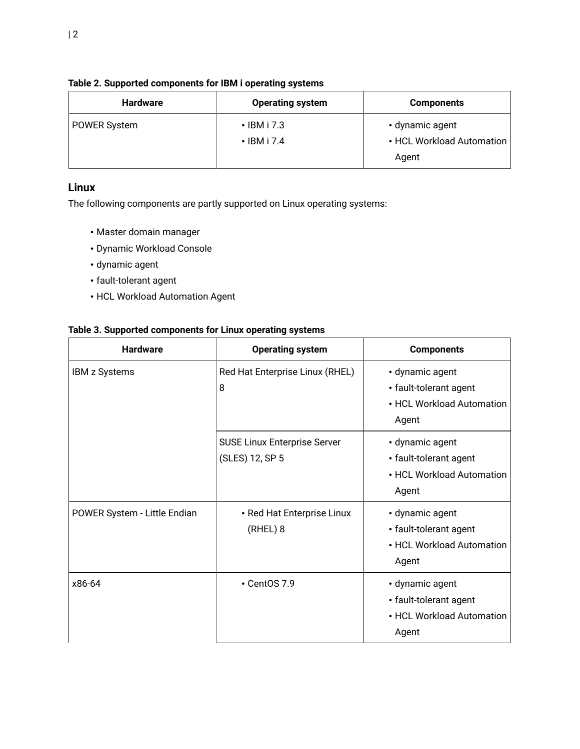| <b>Hardware</b>     | <b>Operating system</b>                | <b>Components</b>                            |
|---------------------|----------------------------------------|----------------------------------------------|
| <b>POWER System</b> | $\cdot$ IBM i 7.3<br>$\cdot$ IBM i 7.4 | • dynamic agent<br>• HCL Workload Automation |
|                     |                                        | Agent                                        |

## **Table 2. Supported components for IBM i operating systems**

# <span id="page-1-0"></span>**Linux**

The following components are partly supported on Linux operating systems:

- Master domain manager
- Dynamic Workload Console
- dynamic agent
- fault-tolerant agent
- HCL Workload Automation Agent

## **Table 3. Supported components for Linux operating systems**

| <b>Hardware</b>              | <b>Operating system</b>                                | <b>Components</b>                                                               |
|------------------------------|--------------------------------------------------------|---------------------------------------------------------------------------------|
| <b>IBM z Systems</b>         | Red Hat Enterprise Linux (RHEL)<br>8                   | • dynamic agent<br>• fault-tolerant agent<br>• HCL Workload Automation<br>Agent |
|                              | <b>SUSE Linux Enterprise Server</b><br>(SLES) 12, SP 5 | • dynamic agent<br>• fault-tolerant agent<br>• HCL Workload Automation<br>Agent |
| POWER System - Little Endian | • Red Hat Enterprise Linux<br>(RHEL) 8                 | • dynamic agent<br>• fault-tolerant agent<br>• HCL Workload Automation<br>Agent |
| x86-64                       | • CentOS 7.9                                           | • dynamic agent<br>• fault-tolerant agent<br>• HCL Workload Automation<br>Agent |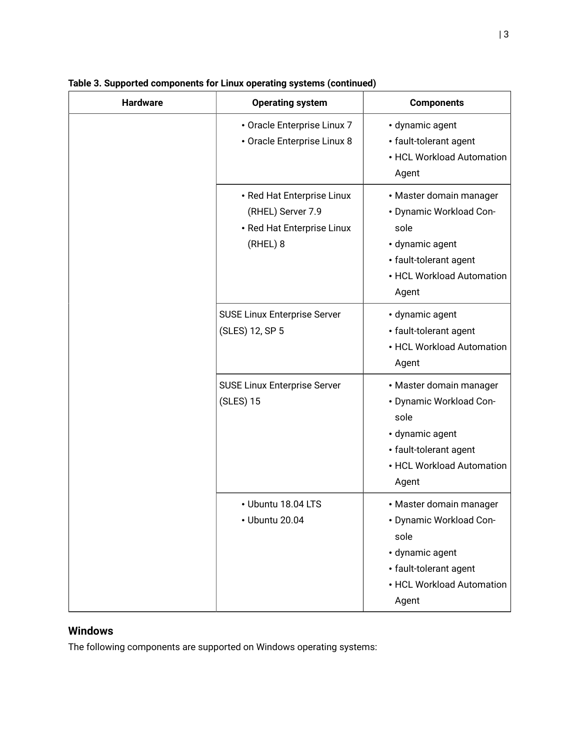| <b>Hardware</b> | <b>Operating system</b>                                                                   | <b>Components</b>                                                                                                                             |
|-----------------|-------------------------------------------------------------------------------------------|-----------------------------------------------------------------------------------------------------------------------------------------------|
|                 | • Oracle Enterprise Linux 7<br>• Oracle Enterprise Linux 8                                | · dynamic agent<br>• fault-tolerant agent<br>• HCL Workload Automation<br>Agent                                                               |
|                 | • Red Hat Enterprise Linux<br>(RHEL) Server 7.9<br>• Red Hat Enterprise Linux<br>(RHEL) 8 | • Master domain manager<br>• Dynamic Workload Con-<br>sole<br>· dynamic agent<br>• fault-tolerant agent<br>• HCL Workload Automation<br>Agent |
|                 | <b>SUSE Linux Enterprise Server</b><br>(SLES) 12, SP 5                                    | · dynamic agent<br>• fault-tolerant agent<br>• HCL Workload Automation<br>Agent                                                               |
|                 | <b>SUSE Linux Enterprise Server</b><br>(SLES) 15                                          | • Master domain manager<br>• Dynamic Workload Con-<br>sole<br>· dynamic agent<br>• fault-tolerant agent<br>• HCL Workload Automation<br>Agent |
|                 | • Ubuntu 18.04 LTS<br>• Ubuntu 20.04                                                      | • Master domain manager<br>• Dynamic Workload Con-<br>sole<br>· dynamic agent<br>• fault-tolerant agent<br>• HCL Workload Automation<br>Agent |

## **Table 3. Supported components for Linux operating systems (continued)**

# <span id="page-2-0"></span>**Windows**

The following components are supported on Windows operating systems: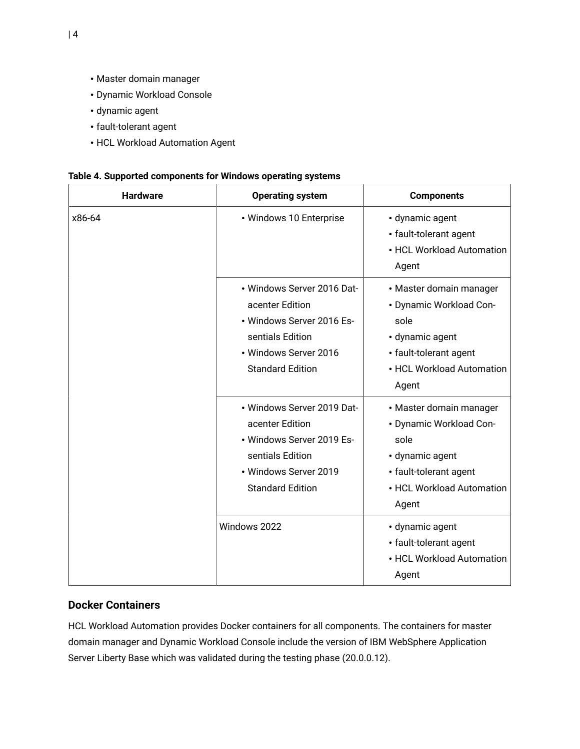- Master domain manager
- Dynamic Workload Console
- dynamic agent
- fault-tolerant agent
- HCL Workload Automation Agent

|  |  | Table 4. Supported components for Windows operating systems |  |
|--|--|-------------------------------------------------------------|--|
|  |  |                                                             |  |

| <b>Hardware</b> | <b>Operating system</b>                                                                                                                            | <b>Components</b>                                                                                                                             |  |
|-----------------|----------------------------------------------------------------------------------------------------------------------------------------------------|-----------------------------------------------------------------------------------------------------------------------------------------------|--|
| x86-64          | • Windows 10 Enterprise                                                                                                                            | · dynamic agent<br>• fault-tolerant agent<br>• HCL Workload Automation<br>Agent                                                               |  |
|                 | • Windows Server 2016 Dat-<br>acenter Edition<br>• Windows Server 2016 Es-<br>sentials Edition<br>• Windows Server 2016<br><b>Standard Edition</b> | • Master domain manager<br>• Dynamic Workload Con-<br>sole<br>• dynamic agent<br>• fault-tolerant agent<br>• HCL Workload Automation<br>Agent |  |
|                 | • Windows Server 2019 Dat-<br>acenter Edition<br>• Windows Server 2019 Es-<br>sentials Edition<br>• Windows Server 2019<br><b>Standard Edition</b> | • Master domain manager<br>• Dynamic Workload Con-<br>sole<br>· dynamic agent<br>• fault-tolerant agent<br>• HCL Workload Automation<br>Agent |  |
|                 | Windows 2022                                                                                                                                       | · dynamic agent<br>• fault-tolerant agent<br>• HCL Workload Automation<br>Agent                                                               |  |

# <span id="page-3-0"></span>**Docker Containers**

HCL Workload Automation provides Docker containers for all components. The containers for master domain manager and Dynamic Workload Console include the version of IBM WebSphere Application Server Liberty Base which was validated during the testing phase (20.0.0.12).